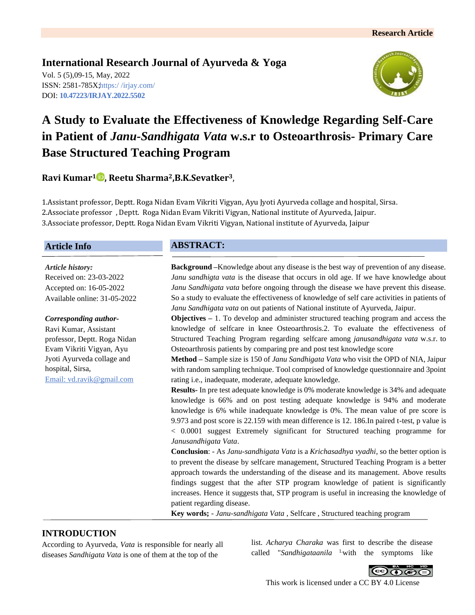# **International Research Journal of Ayurveda & Yoga**

Vol. 5 (5),09-15, May, 2022 ISSN: 2581-785X; https:/ [/irjay.com/](https://irjay.com/) DOI: **10.47223/IRJAY.2022.5502**



# **A Study to Evaluate the Effectiveness of Knowledge Regarding Self-Care in Patient of** *Janu-Sandhigata Vata* **w.s.r to Osteoarthrosis- Primary Care Base Structured Teaching Program**

# **Ravi Kumar<sup>1</sup> , Reetu Sharma2,B.K.Sevatker3**,

1.Assistant professor, Deptt. Roga Nidan Evam Vikriti Vigyan, Ayu Jyoti Ayurveda collage and hospital, Sirsa. 2.Associate professor , Deptt. Roga Nidan Evam Vikriti Vigyan, National institute of Ayurveda, Jaipur. 3.Associate professor, Deptt. Roga Nidan Evam Vikriti Vigyan, National institute of Ayurveda, Jaipur

### **Article Info**

*Article history:* Received on: 23-03-2022 Accepted on: 16-05-2022 Available online: 31-05-2022

#### *Corresponding author-*

Ravi Kumar, Assistant professor, Deptt. Roga Nidan Evam Vikriti Vigyan, Ayu Jyoti Ayurveda collage and hospital, Sirsa, Email: vd.ravik@gmail.com

## **ABSTRACT:**

**Background –**Knowledge about any disease is the best way of prevention of any disease. *Janu sandhigta vata* is the disease that occurs in old age. If we have knowledge about *Janu Sandhigata vata* before ongoing through the disease we have prevent this disease. So a study to evaluate the effectiveness of knowledge of self care activities in patients of *Janu Sandhigata vata* on out patients of National institute of Ayurveda, Jaipur.

**Objectives** *–* 1. To develop and administer structured teaching program and access the knowledge of selfcare in knee Osteoarthrosis.2. To evaluate the effectiveness of Structured Teaching Program regarding selfcare among *janusandhigata vata* w.s.r. to Osteoarthrosis patients by comparing pre and post test knowledge score

**Method –** Sample size is 150 of *Janu Sandhigata Vata* who visit the OPD of NIA, Jaipur with random sampling technique. Tool comprised of knowledge questionnaire and 3point rating i.e., inadequate, moderate, adequate knowledge.

**Results-** In pre test adequate knowledge is 0% moderate knowledge is 34% and adequate knowledge is 66% and on post testing adequate knowledge is 94% and moderate knowledge is 6% while inadequate knowledge is 0%. The mean value of pre score is 9.973 and post score is 22.159 with mean difference is 12. 186.In paired t-test, p value is < 0.0001 suggest Extremely significant for Structured teaching programme for *Janusandhigata Vata*.

**Conclusion**: - As *Janu-sandhigata Vata* is a *Krichasadhya vyadhi*, so the better option is to prevent the disease by selfcare management, Structured Teaching Program is a better approach towards the understanding of the disease and its management. Above results findings suggest that the after STP program knowledge of patient is significantly increases. Hence it suggests that, STP program is useful in increasing the knowledge of patient regarding disease.

**Key words;** - *Janu-sandhigata Vata* , Selfcare , Structured teaching program

# **INTRODUCTION**

According to Ayurveda, *Vata* is responsible for nearly all diseases *Sandhigata Vata* is one of them at the top of the

list. *Acharya Charaka* was first to describe the disease called "*Sandhigataanila* 1.with the symptoms like



This work is licensed under a CC BY 4.0 License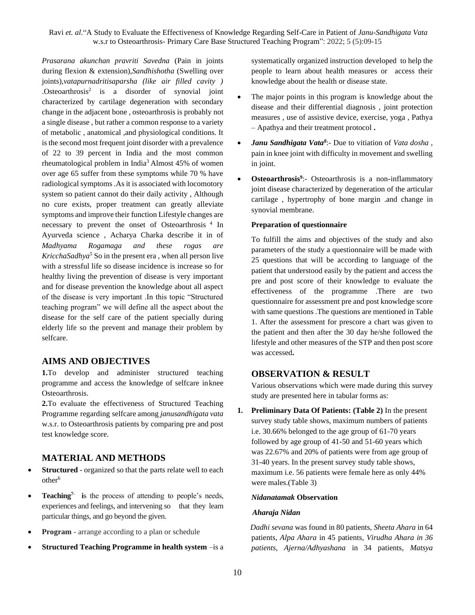*Prasarana akunchan pravriti Savedna* (Pain in joints during flexion & extension),*Sandhishotha* (Swelling over joints),*vatapurnadritisaparsha (like air filled cavity )* .Osteoarthrosis<sup>2</sup> is a disorder of synovial joint characterized by cartilage degeneration with secondary change in the adjacent bone , osteoarthrosis is probably not a single disease , but rather a common response to a variety of metabolic , anatomical ,and physiological conditions. It is the second most frequent joint disorder with a prevalence of 22 to 39 percent in India and the most common rheumatological problem in India<sup>3</sup>Almost 45% of women over age 65 suffer from these symptoms while 70 % have radiological symptoms .As it is associated with locomotory system so patient cannot do their daily activity , Although no cure exists, proper treatment can greatly alleviate symptoms and improve their function Lifestyle changes are necessary to prevent the onset of Osteoarthrosis<sup>4</sup> In Ayurveda science , Acharya Charka describe it in of *Madhyama Rogamaga and these rogas are KricchaSadhya*<sup>5</sup> So in the present era, when all person live with a stressful life so disease incidence is increase so for healthy living the prevention of disease is very important and for disease prevention the knowledge about all aspect of the disease is very important .In this topic "Structured teaching program" we will define all the aspect about the disease for the self care of the patient specially during elderly life so the prevent and manage their problem by selfcare.

### **AIMS AND OBJECTIVES**

**1.**To develop and administer structured teaching programme and access the knowledge of selfcare inknee Osteoarthrosis.

**2.**To evaluate the effectiveness of Structured Teaching Programme regarding selfcare among *janusandhigata vata*  w.s.r. to Osteoarthrosis patients by comparing pre and post test knowledge score.

### **MATERIAL AND METHODS**

- **Structured** [organized](https://dictionary.cambridge.org/dictionary/english/organized) so that the [parts](https://dictionary.cambridge.org/dictionary/english/part) [relate](https://dictionary.cambridge.org/dictionary/english/relate) well to each other<sup>6</sup>
- **Teaching7- i**s the process of attending to people's needs, experiences and feelings, and intervening so that they learn particular things, and go beyond the given.
- **Program** arrange according to a plan or schedule
- **Structured Teaching Programme in health system** –is a

systematically organized instruction developed to help the people to learn about health measures or access their knowledge about the health or disease state.

- The major points in this program is knowledge about the disease and their differential diagnosis , joint protection measures , use of assistive device, exercise, yoga , Pathya – Apathya and their treatment protocol **.**
- *Janu Sandhigata Vata<sup>8</sup>* :- Due to vitiation of *Vata dosha* , pain in knee joint with difficulty in movement and swelling in joint.
- **Osteoarthrosis<sup>9</sup>** :- Osteoarthrosis is a non-inflammatory joint disease characterized by degeneration of the articular cartilage , hypertrophy of bone margin .and change in synovial membrane.

#### **Preparation of questionnaire**

To fulfill the aims and objectives of the study and also parameters of the study a questionnaire will be made with 25 questions that will be according to language of the patient that understood easily by the patient and access the pre and post score of their knowledge to evaluate the effectiveness of the programme .There are two questionnaire for assessment pre and post knowledge score with same questions .The questions are mentioned in Table 1. After the assessment for prescore a chart was given to the patient and then after the 30 day he/she followed the lifestyle and other measures of the STP and then post score was accessed**.**

#### **OBSERVATION & RESULT**

Various observations which were made during this survey study are presented here in tabular forms as:

**1. Preliminary Data Of Patients: (Table 2)** In the present survey study table shows, maximum numbers of patients i.e. 30.66% belonged to the age group of 61-70 years followed by age group of 41-50 and 51-60 years which was 22.67% and 20% of patients were from age group of 31-40 years. In the present survey study table shows, maximum i.e. 56 patients were female here as only 44% were males.(Table 3)

#### *Nidanatamak* **Observation**

#### *Aharaja Nidan*

 *Dadhi sevana* was found in 80 patients, *Sheeta Ahara* in 64 patients*, Alpa Ahara* in 45 patients*, Virudha Ahara in 36 patients, Ajerna/Adhyashana* in 34 patients*, Matsya*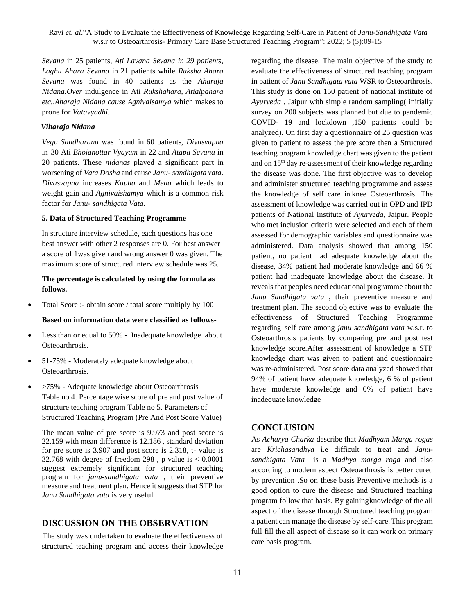*Sevana* in 25 patients*, Ati Lavana Sevana in 29 patients, Laghu Ahara Sevana* in 21 patients while *Ruksha Ahara Sevana* was found in 40 patients as the *Aharaja Nidana.Over* indulgence in Ati *Rukshahara, Atialpahara etc.,Aharaja Nidana cause Agnivaisamya* which makes to prone for *Vatavyadhi.*

#### *Viharaja Nidana*

*Vega Sandharana* was found in 60 patients, *Divasvapna* in 30 Ati *Bhojanottar Vyayam* in 22 and *Atapa Sevana* in 20 patients. These *nidanas* played a significant part in worsening of *Vata Dosha* and cause *Janu- sandhigata vata*. *Divasvapna* increases *Kapha* and *Meda* which leads to weight gain and *Agnivaishamya* which is a common risk factor for *Janu- sandhigata Vata*.

### **5. Data of Structured Teaching Programme**

In structure interview schedule, each questions has one best answer with other 2 responses are 0. For best answer a score of 1was given and wrong answer 0 was given. The maximum score of structured interview schedule was 25.

### **The percentage is calculated by using the formula as follows.**

Total Score :- obtain score / total score multiply by 100

### **Based on information data were classified as follows-**

- Less than or equal to 50% Inadequate knowledge about Osteoarthrosis.
- 51-75% Moderately adequate knowledge about Osteoarthrosis.
- >75% Adequate knowledge about Osteoarthrosis Table no 4. Percentage wise score of pre and post value of structure teaching program Table no 5. Parameters of Structured Teaching Program (Pre And Post Score Value)

The mean value of pre score is 9.973 and post score is 22.159 with mean difference is 12.186 , standard deviation for pre score is 3.907 and post score is 2.318, t- value is 32.768 with degree of freedom 298, p value is  $< 0.0001$ suggest extremely significant for structured teaching program for *janu-sandhigata vata* , their preventive measure and treatment plan. Hence it suggests that STP for *Janu Sandhigata vata* is very useful

# **DISCUSSION ON THE OBSERVATION**

 The study was undertaken to evaluate the effectiveness of structured teaching program and access their knowledge

regarding the disease. The main objective of the study to evaluate the effectiveness of structured teaching program in patient of *Janu Sandhigata vata* WSR to Osteoarthrosis. This study is done on 150 patient of national institute of *Ayurveda* , Jaipur with simple random sampling( initially survey on 200 subjects was planned but due to pandemic COVID- 19 and lockdown ,150 patients could be analyzed). On first day a questionnaire of 25 question was given to patient to assess the pre score then a Structured teaching program knowledge chart was given to the patient and on 15th day re-assessment of their knowledge regarding the disease was done. The first objective was to develop and administer structured teaching programme and assess the knowledge of self care in knee Osteoarthrosis. The assessment of knowledge was carried out in OPD and IPD patients of National Institute of *Ayurveda*, Jaipur. People who met inclusion criteria were selected and each of them assessed for demographic variables and questionnaire was administered. Data analysis showed that among 150 patient, no patient had adequate knowledge about the disease, 34% patient had moderate knowledge and 66 % patient had inadequate knowledge about the disease. It reveals that peoples need educational programme about the *Janu Sandhigata vata* , their preventive measure and treatment plan. The second objective was to evaluate the effectiveness of Structured Teaching Programme regarding self care among *janu sandhigata vata* w.s.r. to Osteoarthrosis patients by comparing pre and post test knowledge score.After assessment of knowledge a STP knowledge chart was given to patient and questionnaire was re-administered. Post score data analyzed showed that 94% of patient have adequate knowledge, 6 % of patient have moderate knowledge and 0% of patient have inadequate knowledge

# **CONCLUSION**

As *Acharya Charka* describe that *Madhyam Marga rogas*  are *Krichasandhya* i.e difficult to treat and *Janusandhigata Vata* is a *Madhya marga roga* and also according to modern aspect Osteoarthrosis is better cured by prevention .So on these basis Preventive methods is a good option to cure the disease and Structured teaching program follow that basis. By gainingknowledge of the all aspect of the disease through Structured teaching program a patient can manage the disease by self-care. This program full fill the all aspect of disease so it can work on primary care basis program.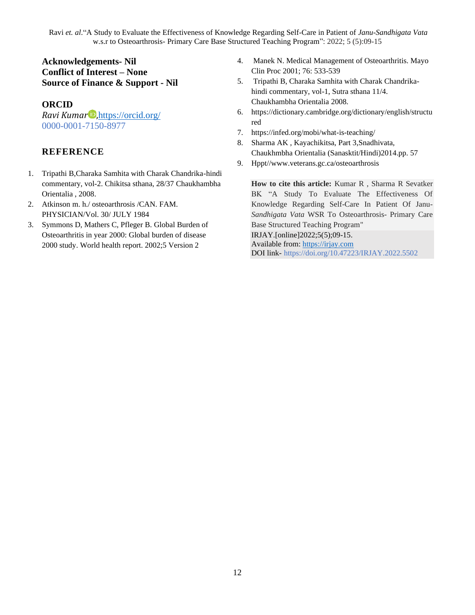# **Acknowledgements- Nil Conflict of Interest – None Source of Finance & Support - Nil**

# **ORCID**

*Ravi Kumar* D, <https://orcid.org/> 0000-0001-7150-8977

# **REFERENCE**

- 1. Tripathi B,Charaka Samhita with Charak Chandrika-hindi commentary, vol-2. Chikitsa sthana, 28/37 Chaukhambha Orientalia , 2008.
- 2. Atkinson m. h./ osteoarthrosis /CAN. FAM. PHYSICIAN/Vol. 30/ JULY 1984
- 3. Symmons D, Mathers C, Pfleger B. Global Burden of Osteoarthritis in year 2000: Global burden of disease 2000 study. World health report. 2002;5 Version 2
- 4. Manek N. Medical Management of Osteoarthritis. Mayo Clin Proc 2001; 76: 533-539
- 5. Tripathi B, Charaka Samhita with Charak Chandrikahindi commentary, vol-1, Sutra sthana 11/4. Chaukhambha Orientalia 2008.
- 6. [https://dictionary.cambridge.org/dictionary/english/structu](https://dictionary.cambridge.org/dictionary/english/structured) [red](https://dictionary.cambridge.org/dictionary/english/structured)
- 7. <https://infed.org/mobi/what-is-teaching/>
- 8. Sharma AK , Kayachikitsa, Part 3,Snadhivata, Chaukhmbha Orientalia (Sanasktit/Hindi)2014.pp. 57
- 9. Hppt//www.veterans.gc.ca/osteoarthrosis

**How to cite this article:** Kumar R , Sharma R Sevatker BK "A Study To Evaluate The Effectiveness Of Knowledge Regarding Self-Care In Patient Of Janu-*Sandhigata Vata* WSR To Osteoarthrosis- Primary Care Base Structured Teaching Program"

IRJAY.[online]2022;5(5);09-15.

Available from: [https://irjay.com](https://irjay.com/) DOI link- https://doi.org/10.47223/IRJAY.2022.5502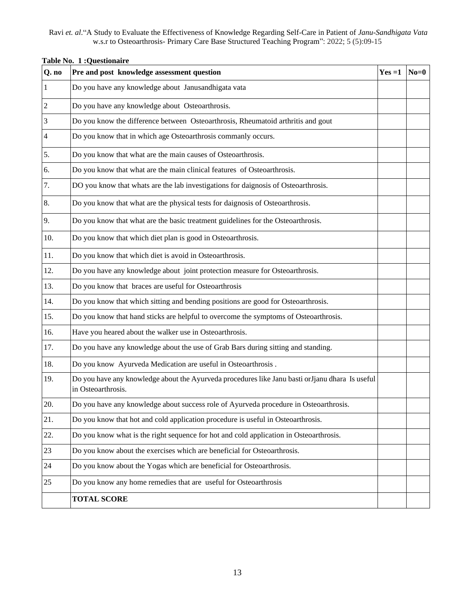| Q. no                   | Pre and post knowledge assessment question                                                                            | $Yes = 1$ | $N_0=0$ |
|-------------------------|-----------------------------------------------------------------------------------------------------------------------|-----------|---------|
| $\overline{1}$          | Do you have any knowledge about Janusandhigata vata                                                                   |           |         |
| $\overline{2}$          | Do you have any knowledge about Osteoarthrosis.                                                                       |           |         |
| $\overline{\mathbf{3}}$ | Do you know the difference between Osteoarthrosis, Rheumatoid arthritis and gout                                      |           |         |
| $\overline{4}$          | Do you know that in which age Osteoarthrosis commanly occurs.                                                         |           |         |
| 5.                      | Do you know that what are the main causes of Osteoarthrosis.                                                          |           |         |
| 6.                      | Do you know that what are the main clinical features of Osteoarthrosis.                                               |           |         |
| 7.                      | DO you know that whats are the lab investigations for daignosis of Osteoarthrosis.                                    |           |         |
| 8.                      | Do you know that what are the physical tests for daignosis of Osteoarthrosis.                                         |           |         |
| 9.                      | Do you know that what are the basic treatment guidelines for the Osteoarthrosis.                                      |           |         |
| 10.                     | Do you know that which diet plan is good in Osteoarthrosis.                                                           |           |         |
| 11.                     | Do you know that which diet is avoid in Osteoarthrosis.                                                               |           |         |
| 12.                     | Do you have any knowledge about joint protection measure for Osteoarthrosis.                                          |           |         |
| 13.                     | Do you know that braces are useful for Osteoarthrosis                                                                 |           |         |
| 14.                     | Do you know that which sitting and bending positions are good for Osteoarthrosis.                                     |           |         |
| 15.                     | Do you know that hand sticks are helpful to overcome the symptoms of Osteoarthrosis.                                  |           |         |
| 16.                     | Have you heared about the walker use in Osteoarthrosis.                                                               |           |         |
| 17.                     | Do you have any knowledge about the use of Grab Bars during sitting and standing.                                     |           |         |
| 18.                     | Do you know Ayurveda Medication are useful in Osteoarthrosis.                                                         |           |         |
| 19.                     | Do you have any knowledge about the Ayurveda procedures like Janu basti orJjanu dhara Is useful<br>in Osteoarthrosis. |           |         |
| 20.                     | Do you have any knowledge about success role of Ayurveda procedure in Osteoarthrosis.                                 |           |         |
| 21.                     | Do you know that hot and cold application procedure is useful in Osteoarthrosis.                                      |           |         |
| 22.                     | Do you know what is the right sequence for hot and cold application in Osteoarthrosis.                                |           |         |
| 23                      | Do you know about the exercises which are beneficial for Osteoarthrosis.                                              |           |         |
| 24                      | Do you know about the Yogas which are beneficial for Osteoarthrosis.                                                  |           |         |
| 25                      | Do you know any home remedies that are useful for Osteoarthrosis                                                      |           |         |
|                         | <b>TOTAL SCORE</b>                                                                                                    |           |         |

### **Table No. 1 :Questionaire**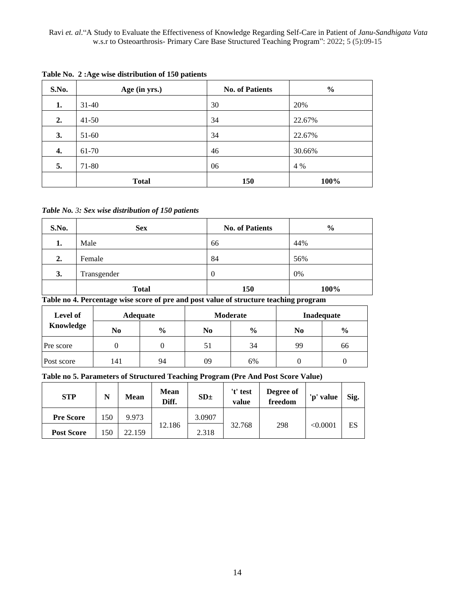| S.No. | Age (in yrs.) | <b>No. of Patients</b> | $\frac{0}{0}$ |
|-------|---------------|------------------------|---------------|
| 1.    | $31 - 40$     | 30                     | 20%           |
| 2.    | $41 - 50$     | 34                     | 22.67%        |
| 3.    | $51-60$       | 34                     | 22.67%        |
| 4.    | 61-70         | 46                     | 30.66%        |
| 5.    | 71-80         | 06                     | 4 %           |
|       | <b>Total</b>  | <b>150</b>             | 100%          |

**Table No. 2 :Age wise distribution of 150 patients**

*Table No. 3: Sex wise distribution of 150 patients*

| S.No. | <b>Sex</b>   | <b>No. of Patients</b> | $\frac{6}{9}$ |
|-------|--------------|------------------------|---------------|
| 1.    | Male         | 66                     | 44%           |
| 2.    | Female       | 84                     | 56%           |
| 3.    | Transgender  | $\theta$               | 0%            |
|       | <b>Total</b> | 150                    | 100%          |

**Table no 4. Percentage wise score of pre and post value of structure teaching program**

| Level of   | <b>Adequate</b> |               | Moderate |               | Inadequate |               |
|------------|-----------------|---------------|----------|---------------|------------|---------------|
| Knowledge  | No              | $\frac{0}{0}$ | No       | $\frac{0}{0}$ | No         | $\frac{6}{9}$ |
| Pre score  |                 |               | 51       | 34            | 99         | 66            |
| Post score | 141             | 94            | 09       | 6%            |            |               |

### **Table no 5. Parameters of Structured Teaching Program (Pre And Post Score Value)**

| <b>STP</b>        | N  | <b>Mean</b> | <b>Mean</b><br>Diff. | SD <sub>±</sub> | 't' test<br>value | Degree of<br>freedom | 'p' value | Sig. |
|-------------------|----|-------------|----------------------|-----------------|-------------------|----------------------|-----------|------|
| <b>Pre Score</b>  | 50 | 9.973       |                      | 3.0907          |                   |                      |           |      |
| <b>Post Score</b> | 50 | 22.159      | 12.186               | 2.318           | 32.768            | 298                  | < 0.0001  | ES   |